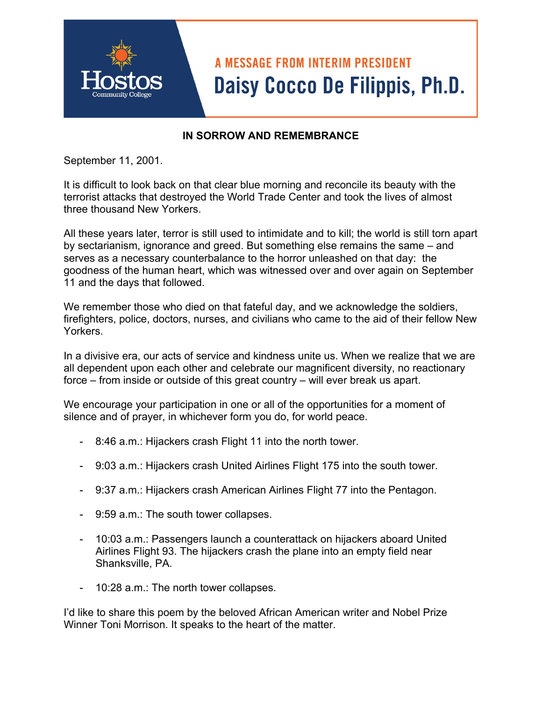## **A MESSAGE FROM INTERIM PRESIDENT** Daisy Cocco De Filippis, Ph.D.

## **IN SORROW AND REMEMBRANCE**

September 11, 2001.

It is difficult to look back on that clear blue morning and reconcile its beauty with the terrorist attacks that destroyed the World Trade Center and took the lives of almost three thousand New Yorkers.

All these years later, terror is still used to intimidate and to kill; the world is still torn apart by sectarianism, ignorance and greed. But something else remains the same – and serves as a necessary counterbalance to the horror unleashed on that day: the goodness of the human heart, which was witnessed over and over again on September 11 and the days that followed.

We remember those who died on that fateful day, and we acknowledge the soldiers, firefighters, police, doctors, nurses, and civilians who came to the aid of their fellow New Yorkers.

In a divisive era, our acts of service and kindness unite us. When we realize that we are all dependent upon each other and celebrate our magnificent diversity, no reactionary force – from inside or outside of this great country – will ever break us apart.

We encourage your participation in one or all of the opportunities for a moment of silence and of prayer, in whichever form you do, for world peace.

- 8:46 a.m.: Hijackers crash Flight 11 into the north tower.
- 9:03 a.m.: Hijackers crash United Airlines Flight 175 into the south tower.
- 9:37 a.m.: Hijackers crash American Airlines Flight 77 into the Pentagon.
- 9:59 a.m.: The south tower collapses.
- 10:03 a.m.: Passengers launch a counterattack on hijackers aboard United Airlines Flight 93. The hijackers crash the plane into an empty field near Shanksville, PA.
- 10:28 a.m.: The north tower collapses.

I'd like to share this poem by the beloved African American writer and Nobel Prize Winner Toni Morrison. It speaks to the heart of the matter.